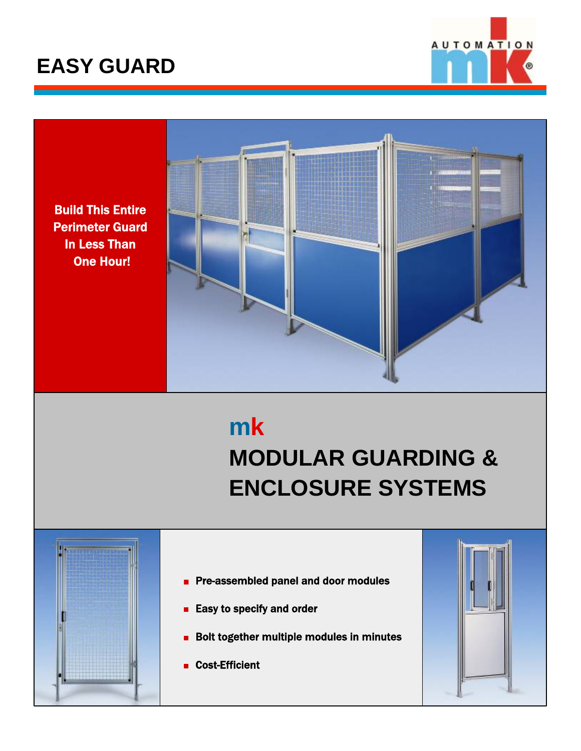

Build This Entire Perimeter Guard In Less Than One Hour!



# **mk MODULAR GUARDING & ENCLOSURE SYSTEMS**

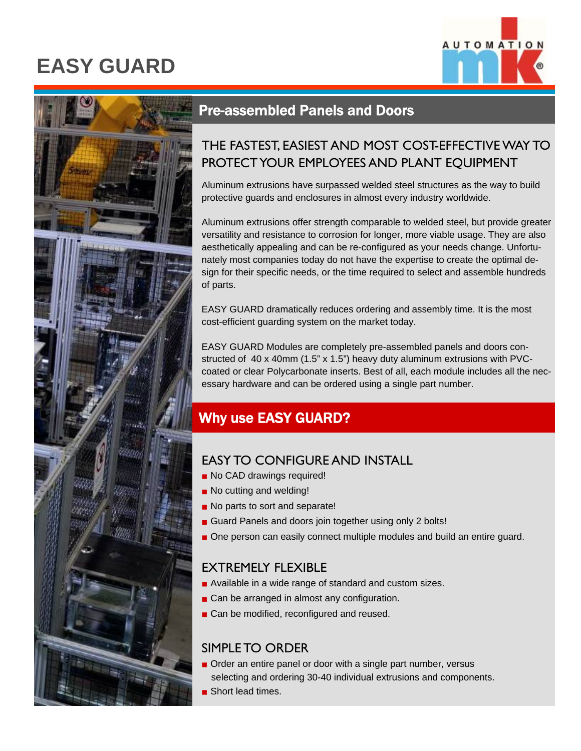



### Pre-assembled Panels and Doors

### THE FASTEST, EASIEST AND MOST COST-EFFECTIVE WAY TO PROTECT YOUR EMPLOYEES AND PLANT EQUIPMENT

Aluminum extrusions have surpassed welded steel structures as the way to build protective guards and enclosures in almost every industry worldwide.

Aluminum extrusions offer strength comparable to welded steel, but provide greater versatility and resistance to corrosion for longer, more viable usage. They are also aesthetically appealing and can be re-configured as your needs change. Unfortunately most companies today do not have the expertise to create the optimal design for their specific needs, or the time required to select and assemble hundreds of parts.

EASY GUARD dramatically reduces ordering and assembly time. It is the most cost-efficient guarding system on the market today.

EASY GUARD Modules are completely pre-assembled panels and doors constructed of 40 x 40mm (1.5" x 1.5") heavy duty aluminum extrusions with PVCcoated or clear Polycarbonate inserts. Best of all, each module includes all the necessary hardware and can be ordered using a single part number.

## Why use EASY GUARD?

### EASY TO CONFIGURE AND INSTALL

- No CAD drawings required!
- No cutting and welding!
- No parts to sort and separate!
- Guard Panels and doors join together using only 2 bolts!
- One person can easily connect multiple modules and build an entire guard.

#### EXTREMELY FLEXIBLE

- Available in a wide range of standard and custom sizes.
- Can be arranged in almost any configuration.
- Can be modified, reconfigured and reused.

#### SIMPLE TO ORDER

- Order an entire panel or door with a single part number, versus selecting and ordering 30-40 individual extrusions and components.
- Short lead times.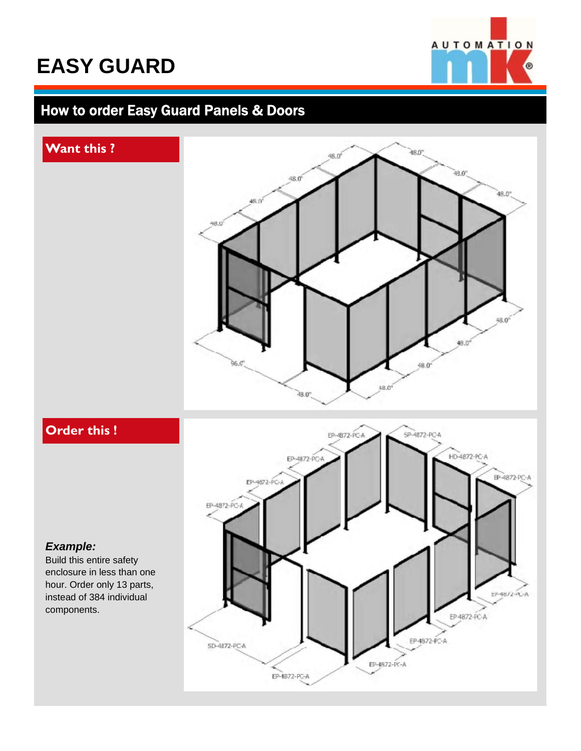

### **How to order Easy Guard Panels & Doors**

#### **Want this ?**



## **Order this !**

#### *Example:*

Build this entire safety enclosure in less than one hour. Order only 13 parts, instead of 384 individual components.

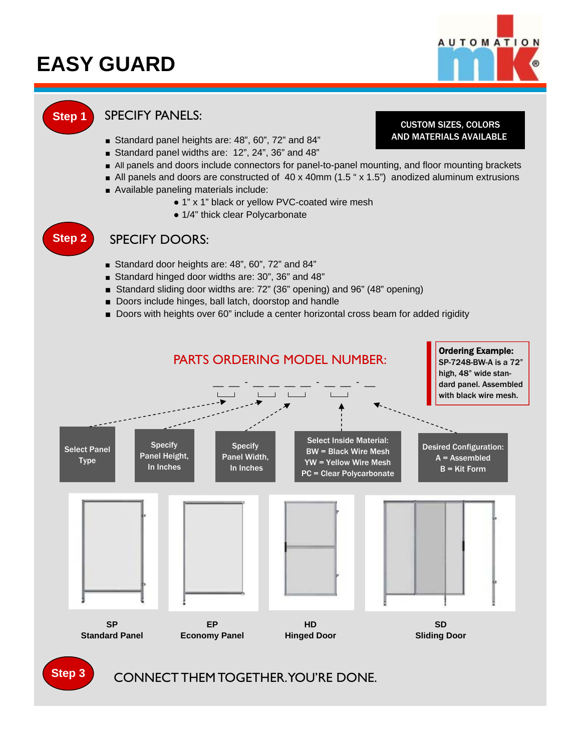

#### **Step 1** SPECIFY PANELS:

- Standard panel heights are: 48", 60", 72" and 84"
- Standard panel widths are: 12", 24", 36" and 48"
- All panels and doors include connectors for panel-to-panel mounting, and floor mounting brackets
- All panels and doors are constructed of 40 x 40mm (1.5 " x 1.5") anodized aluminum extrusions
- Available paneling materials include:
	- 1" x 1" black or yellow PVC-coated wire mesh
	- 1/4" thick clear Polycarbonate

## **Step 2**

#### SPECIFY DOORS:

- Standard door heights are: 48", 60", 72" and 84"
- Standard hinged door widths are: 30", 36" and 48"
- Standard sliding door widths are: 72" (36" opening) and 96" (48" opening)
- Doors include hinges, ball latch, doorstop and handle
- Doors with heights over 60" include a center horizontal cross beam for added rigidity



CUSTOM SIZES, COLORS AND MATERIALS AVAILABLE.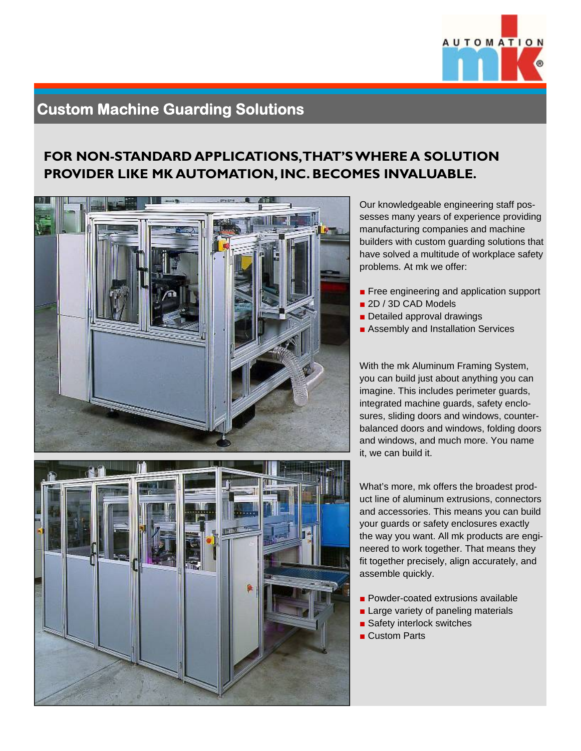

## **Custom Machine Guarding Solutions**

#### **FOR NON-STANDARD APPLICATIONS, THAT'S WHERE A SOLUTION PROVIDER LIKE MK AUTOMATION, INC. BECOMES INVALUABLE.**



Our knowledgeable engineering staff possesses many years of experience providing manufacturing companies and machine builders with custom guarding solutions that have solved a multitude of workplace safety problems. At mk we offer:

- Free engineering and application support
- 2D / 3D CAD Models
- Detailed approval drawings
- Assembly and Installation Services

With the mk Aluminum Framing System, you can build just about anything you can imagine. This includes perimeter guards, integrated machine guards, safety enclosures, sliding doors and windows, counterbalanced doors and windows, folding doors and windows, and much more. You name it, we can build it.

What's more, mk offers the broadest product line of aluminum extrusions, connectors and accessories. This means you can build your guards or safety enclosures exactly the way you want. All mk products are engineered to work together. That means they fit together precisely, align accurately, and assemble quickly.

- Powder-coated extrusions available
- Large variety of paneling materials
- Safety interlock switches
- Custom Parts